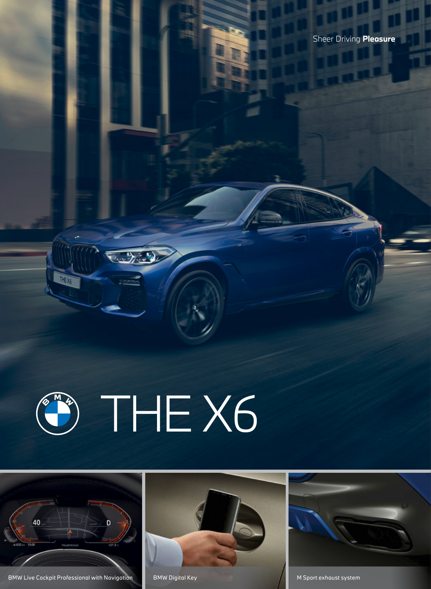

HE X